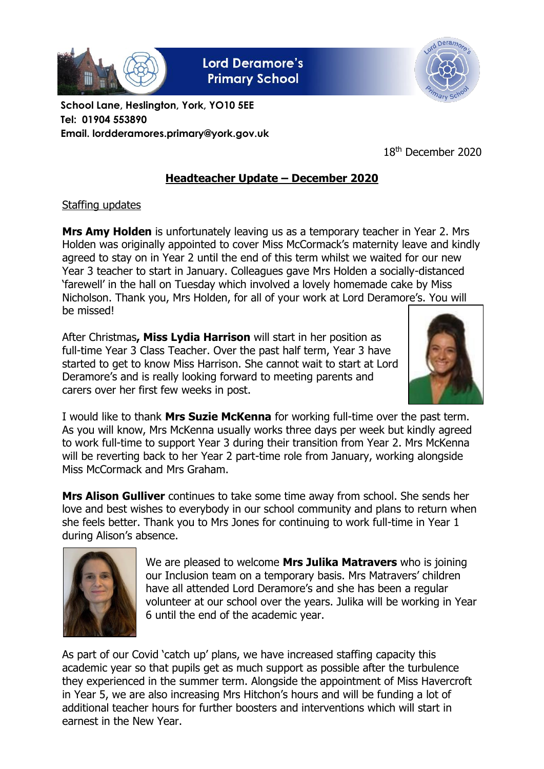

**Lord Deramore's Primary School** 



**School Lane, Heslington, York, YO10 5EE Tel: 01904 553890 Email. lordderamores.primary@york.gov.uk**

18th December 2020

## **Headteacher Update – December 2020**

## Staffing updates

**Mrs Amy Holden** is unfortunately leaving us as a temporary teacher in Year 2. Mrs Holden was originally appointed to cover Miss McCormack's maternity leave and kindly agreed to stay on in Year 2 until the end of this term whilst we waited for our new Year 3 teacher to start in January. Colleagues gave Mrs Holden a socially-distanced 'farewell' in the hall on Tuesday which involved a lovely homemade cake by Miss Nicholson. Thank you, Mrs Holden, for all of your work at Lord Deramore's. You will be missed!

After Christmas**, Miss Lydia Harrison** will start in her position as full-time Year 3 Class Teacher. Over the past half term, Year 3 have started to get to know Miss Harrison. She cannot wait to start at Lord Deramore's and is really looking forward to meeting parents and carers over her first few weeks in post.



I would like to thank **Mrs Suzie McKenna** for working full-time over the past term. As you will know, Mrs McKenna usually works three days per week but kindly agreed to work full-time to support Year 3 during their transition from Year 2. Mrs McKenna will be reverting back to her Year 2 part-time role from January, working alongside Miss McCormack and Mrs Graham.

**Mrs Alison Gulliver** continues to take some time away from school. She sends her love and best wishes to everybody in our school community and plans to return when she feels better. Thank you to Mrs Jones for continuing to work full-time in Year 1 during Alison's absence.



We are pleased to welcome **Mrs Julika Matravers** who is joining our Inclusion team on a temporary basis. Mrs Matravers' children have all attended Lord Deramore's and she has been a regular volunteer at our school over the years. Julika will be working in Year 6 until the end of the academic year.

As part of our Covid 'catch up' plans, we have increased staffing capacity this academic year so that pupils get as much support as possible after the turbulence they experienced in the summer term. Alongside the appointment of Miss Havercroft in Year 5, we are also increasing Mrs Hitchon's hours and will be funding a lot of additional teacher hours for further boosters and interventions which will start in earnest in the New Year.